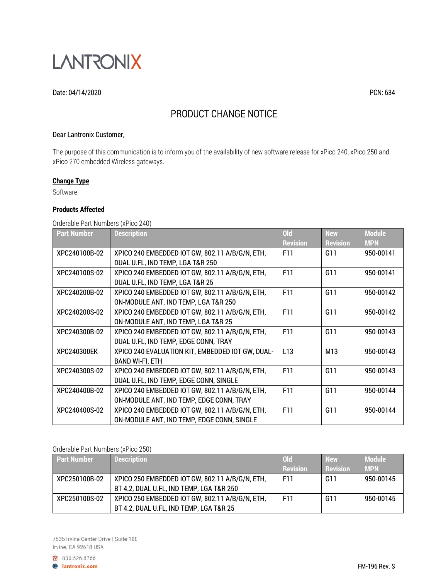

#### Date: 04/14/2020 PCN: 634

# PRODUCT CHANGE NOTICE

#### Dear Lantronix Customer,

The purpose of this communication is to inform you of the availability of new software release for xPico 240, xPico 250 and xPico 270 embedded Wireless gateways.

# **Change Type**

Software

#### **Products Affected**

Orderable Part Numbers (xPico 240)

| <b>Part Number</b> | <b>Description</b>                               | <b>Old</b><br><b>Revision</b> | <b>New</b><br><b>Revision</b> | <b>Module</b><br><b>MPN</b> |
|--------------------|--------------------------------------------------|-------------------------------|-------------------------------|-----------------------------|
| XPC240100B-02      | XPICO 240 EMBEDDED IOT GW, 802.11 A/B/G/N, ETH,  | F11                           | G11                           | 950-00141                   |
|                    | DUAL U.FL, IND TEMP, LGA T&R 250                 |                               |                               |                             |
| XPC240100S-02      | XPICO 240 EMBEDDED IOT GW, 802.11 A/B/G/N, ETH,  | F11                           | G11                           | 950-00141                   |
|                    | DUAL U.FL, IND TEMP, LGA T&R 25                  |                               |                               |                             |
| XPC240200B-02      | XPICO 240 EMBEDDED IOT GW, 802.11 A/B/G/N, ETH,  | F11                           | G11                           | 950-00142                   |
|                    | ON-MODULE ANT, IND TEMP, LGA T&R 250             |                               |                               |                             |
| XPC240200S-02      | XPICO 240 EMBEDDED IOT GW, 802.11 A/B/G/N, ETH,  | F11                           | G11                           | 950-00142                   |
|                    | ON-MODULE ANT, IND TEMP, LGA T&R 25              |                               |                               |                             |
| XPC240300B-02      | XPICO 240 EMBEDDED IOT GW, 802.11 A/B/G/N, ETH,  | F11                           | G11                           | 950-00143                   |
|                    | DUAL U.FL, IND TEMP, EDGE CONN, TRAY             |                               |                               |                             |
| XPC240300EK        | XPICO 240 EVALUATION KIT, EMBEDDED IOT GW, DUAL- | L13                           | M13                           | 950-00143                   |
|                    | <b>BAND WI-FI, ETH</b>                           |                               |                               |                             |
| XPC240300S-02      | XPICO 240 EMBEDDED IOT GW, 802.11 A/B/G/N, ETH,  | F11                           | G11                           | 950-00143                   |
|                    | DUAL U.FL, IND TEMP, EDGE CONN, SINGLE           |                               |                               |                             |
| XPC240400B-02      | XPICO 240 EMBEDDED IOT GW, 802.11 A/B/G/N, ETH,  | F11                           | G11                           | 950-00144                   |
|                    | ON-MODULE ANT, IND TEMP, EDGE CONN, TRAY         |                               |                               |                             |
| XPC240400S-02      | XPICO 240 EMBEDDED IOT GW, 802.11 A/B/G/N, ETH,  | F11                           | G11                           | 950-00144                   |
|                    | ON-MODULE ANT, IND TEMP, EDGE CONN, SINGLE       |                               |                               |                             |

#### Orderable Part Numbers (xPico 250)

| <b>Part Number</b> | <b>Description</b>                              | $Q_{d}$         | <b>New</b>      | <b>Module</b> |
|--------------------|-------------------------------------------------|-----------------|-----------------|---------------|
|                    |                                                 | <b>Revision</b> | <b>Revision</b> | <b>MPN</b>    |
| XPC250100B-02      | XPICO 250 EMBEDDED IOT GW, 802.11 A/B/G/N, ETH, | F11             | G11             | 950-00145     |
|                    | BT 4.2, DUAL U.FL, IND TEMP, LGA T&R 250        |                 |                 |               |
| XPC250100S-02      | XPICO 250 EMBEDDED IOT GW. 802.11 A/B/G/N. ETH. | F11             | G11             | 950-00145     |
|                    | BT 4.2, DUAL U.FL, IND TEMP, LGA T&R 25         |                 |                 |               |

7535 Irvine Center Drive | Suite 100 Irvine, CA 92618 USA

800.526.8766

**A** lantronix.com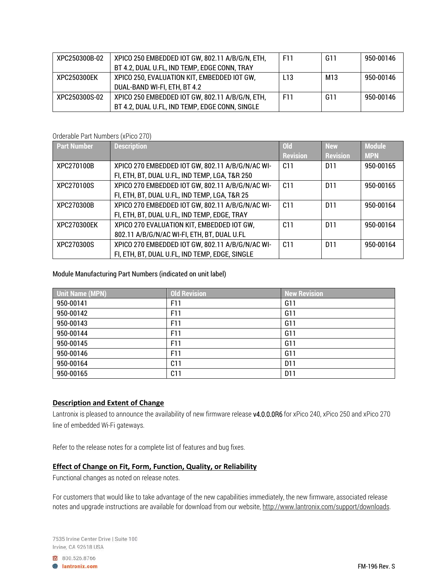| XPC250300B-02 | XPICO 250 EMBEDDED IOT GW, 802.11 A/B/G/N, ETH, | F11             | G11 | 950-00146 |
|---------------|-------------------------------------------------|-----------------|-----|-----------|
|               | BT 4.2, DUAL U.FL, IND TEMP, EDGE CONN, TRAY    |                 |     |           |
| XPC250300EK   | XPICO 250, EVALUATION KIT, EMBEDDED IOT GW,     | L <sub>13</sub> | M13 | 950-00146 |
|               | DUAL-BAND WI-FI, ETH, BT 4.2                    |                 |     |           |
| XPC250300S-02 | XPICO 250 EMBEDDED IOT GW, 802.11 A/B/G/N, ETH, | F11             | G11 | 950-00146 |
|               | BT 4.2, DUAL U.FL, IND TEMP, EDGE CONN, SINGLE  |                 |     |           |

Orderable Part Numbers (xPico 270)

| <b>Part Number</b> | <b>Description</b>                               | <b>Old</b>      | <b>New</b>      | <b>Module</b> |
|--------------------|--------------------------------------------------|-----------------|-----------------|---------------|
|                    |                                                  | <b>Revision</b> | <b>Revision</b> | <b>MPN</b>    |
| XPC270100B         | XPICO 270 EMBEDDED IOT GW, 802.11 A/B/G/N/AC WI- | C11             | D <sub>11</sub> | 950-00165     |
|                    | FI, ETH, BT, DUAL U.FL, IND TEMP, LGA, T&R 250   |                 |                 |               |
| XPC270100S         | XPICO 270 EMBEDDED IOT GW, 802.11 A/B/G/N/AC WI- | C11             | D <sub>11</sub> | 950-00165     |
|                    | FI, ETH, BT, DUAL U.FL, IND TEMP, LGA, T&R 25    |                 |                 |               |
| XPC270300B         | XPICO 270 EMBEDDED IOT GW, 802.11 A/B/G/N/AC WI- | C <sub>11</sub> | D <sub>11</sub> | 950-00164     |
|                    | FI, ETH, BT, DUAL U.FL, IND TEMP, EDGE, TRAY     |                 |                 |               |
| XPC270300EK        | XPICO 270 EVALUATION KIT, EMBEDDED IOT GW,       | C <sub>11</sub> | D <sub>11</sub> | 950-00164     |
|                    | 802.11 A/B/G/N/AC WI-FI, ETH, BT, DUAL U.FL      |                 |                 |               |
| XPC270300S         | XPICO 270 EMBEDDED IOT GW, 802.11 A/B/G/N/AC WI- | C <sub>11</sub> | D <sub>11</sub> | 950-00164     |
|                    | FI, ETH, BT, DUAL U.FL, IND TEMP, EDGE, SINGLE   |                 |                 |               |

Module Manufacturing Part Numbers (indicated on unit label)

| Unit Name (MPN) | <b>Old Revision</b> | <b>New Revision</b> |
|-----------------|---------------------|---------------------|
| 950-00141       | F11                 | G11                 |
| 950-00142       | F11                 | G11                 |
| 950-00143       | F11                 | G11                 |
| 950-00144       | F11                 | G11                 |
| 950-00145       | F11                 | G11                 |
| 950-00146       | F11                 | G11                 |
| 950-00164       | C <sub>11</sub>     | D <sub>11</sub>     |
| 950-00165       | C <sub>11</sub>     | D <sub>11</sub>     |

# **Description and Extent of Change**

Lantronix is pleased to announce the availability of new firmware release v4.0.0.0R6 for xPico 240, xPico 250 and xPico 270 line of embedded Wi-Fi gateways.

Refer to the release notes for a complete list of features and bug fixes.

### **Effect of Change on Fit, Form, Function, Quality, or Reliability**

Functional changes as noted on release notes.

For customers that would like to take advantage of the new capabilities immediately, the new firmware, associated release notes and upgrade instructions are available for download from our website, http://www.lantronix.com/support/downloads.

800.526.8766

**A** lantronix.com